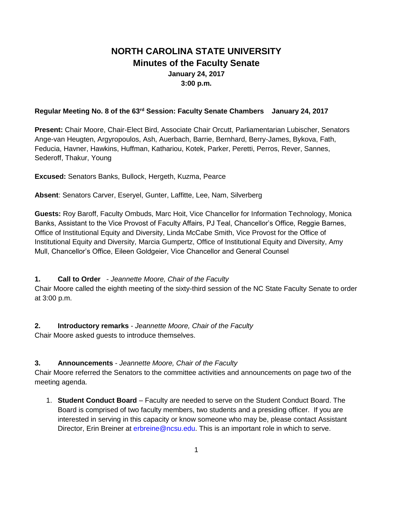# **NORTH CAROLINA STATE UNIVERSITY Minutes of the Faculty Senate January 24, 2017 3:00 p.m.**

## **Regular Meeting No. 8 of the 63rd Session: Faculty Senate Chambers January 24, 2017**

**Present:** Chair Moore, Chair-Elect Bird, Associate Chair Orcutt, Parliamentarian Lubischer, Senators Ange-van Heugten, Argyropoulos, Ash, Auerbach, Barrie, Bernhard, Berry-James, Bykova, Fath, Feducia, Havner, Hawkins, Huffman, Kathariou, Kotek, Parker, Peretti, Perros, Rever, Sannes, Sederoff, Thakur, Young

**Excused:** Senators Banks, Bullock, Hergeth, Kuzma, Pearce

**Absent**: Senators Carver, Eseryel, Gunter, Laffitte, Lee, Nam, Silverberg

**Guests:** Roy Baroff, Faculty Ombuds, Marc Hoit, Vice Chancellor for Information Technology, Monica Banks, Assistant to the Vice Provost of Faculty Affairs, PJ Teal, Chancellor's Office, Reggie Barnes, Office of Institutional Equity and Diversity, Linda McCabe Smith, Vice Provost for the Office of Institutional Equity and Diversity, Marcia Gumpertz, Office of Institutional Equity and Diversity, Amy Mull, Chancellor's Office, Eileen Goldgeier, Vice Chancellor and General Counsel

## **1. Call to Order** - *Jeannette Moore, Chair of the Faculty*

Chair Moore called the eighth meeting of the sixty-third session of the NC State Faculty Senate to order at 3:00 p.m.

**2. Introductory remarks** - *Jeannette Moore, Chair of the Faculty*

Chair Moore asked guests to introduce themselves.

## **3. Announcements** - *Jeannette Moore, Chair of the Faculty*

Chair Moore referred the Senators to the committee activities and announcements on page two of the meeting agenda.

1. **Student Conduct Board** – Faculty are needed to serve on the Student Conduct Board. The Board is comprised of two faculty members, two students and a presiding officer. If you are interested in serving in this capacity or know someone who may be, please contact Assistant Director, Erin Breiner at erbreine@ncsu.edu. This is an important role in which to serve.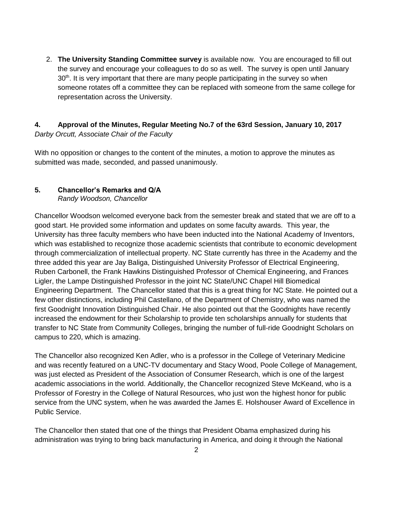2. **The University Standing Committee survey** is available now. You are encouraged to fill out the survey and encourage your colleagues to do so as well. The survey is open until January  $30<sup>th</sup>$ . It is very important that there are many people participating in the survey so when someone rotates off a committee they can be replaced with someone from the same college for representation across the University.

## **4. Approval of the Minutes, Regular Meeting No.7 of the 63rd Session, January 10, 2017** *Darby Orcutt, Associate Chair of the Faculty*

With no opposition or changes to the content of the minutes, a motion to approve the minutes as submitted was made, seconded, and passed unanimously.

## **5. Chancellor's Remarks and Q/A**

*Randy Woodson, Chancellor* 

Chancellor Woodson welcomed everyone back from the semester break and stated that we are off to a good start. He provided some information and updates on some faculty awards. This year, the University has three faculty members who have been inducted into the National Academy of Inventors, which was established to recognize those academic scientists that contribute to economic development through commercialization of intellectual property. NC State currently has three in the Academy and the three added this year are Jay Baliga, Distinguished University Professor of Electrical Engineering, Ruben Carbonell, the Frank Hawkins Distinguished Professor of Chemical Engineering, and Frances Ligler, the Lampe Distinguished Professor in the joint NC State/UNC Chapel Hill Biomedical Engineering Department. The Chancellor stated that this is a great thing for NC State. He pointed out a few other distinctions, including Phil Castellano, of the Department of Chemistry, who was named the first Goodnight Innovation Distinguished Chair. He also pointed out that the Goodnights have recently increased the endowment for their Scholarship to provide ten scholarships annually for students that transfer to NC State from Community Colleges, bringing the number of full-ride Goodnight Scholars on campus to 220, which is amazing.

The Chancellor also recognized Ken Adler, who is a professor in the College of Veterinary Medicine and was recently featured on a UNC-TV documentary and Stacy Wood, Poole College of Management, was just elected as President of the Association of Consumer Research, which is one of the largest academic associations in the world. Additionally, the Chancellor recognized Steve McKeand, who is a Professor of Forestry in the College of Natural Resources, who just won the highest honor for public service from the UNC system, when he was awarded the James E. Holshouser Award of Excellence in Public Service.

The Chancellor then stated that one of the things that President Obama emphasized during his administration was trying to bring back manufacturing in America, and doing it through the National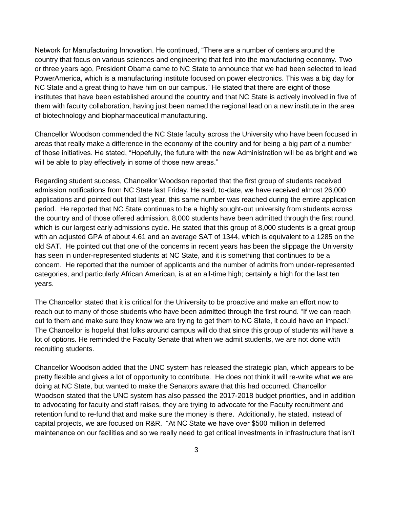Network for Manufacturing Innovation. He continued, "There are a number of centers around the country that focus on various sciences and engineering that fed into the manufacturing economy. Two or three years ago, President Obama came to NC State to announce that we had been selected to lead PowerAmerica, which is a manufacturing institute focused on power electronics. This was a big day for NC State and a great thing to have him on our campus." He stated that there are eight of those institutes that have been established around the country and that NC State is actively involved in five of them with faculty collaboration, having just been named the regional lead on a new institute in the area of biotechnology and biopharmaceutical manufacturing.

Chancellor Woodson commended the NC State faculty across the University who have been focused in areas that really make a difference in the economy of the country and for being a big part of a number of those initiatives. He stated, "Hopefully, the future with the new Administration will be as bright and we will be able to play effectively in some of those new areas."

Regarding student success, Chancellor Woodson reported that the first group of students received admission notifications from NC State last Friday. He said, to-date, we have received almost 26,000 applications and pointed out that last year, this same number was reached during the entire application period. He reported that NC State continues to be a highly sought-out university from students across the country and of those offered admission, 8,000 students have been admitted through the first round, which is our largest early admissions cycle. He stated that this group of 8,000 students is a great group with an adjusted GPA of about 4.61 and an average SAT of 1344, which is equivalent to a 1285 on the old SAT. He pointed out that one of the concerns in recent years has been the slippage the University has seen in under-represented students at NC State, and it is something that continues to be a concern. He reported that the number of applicants and the number of admits from under-represented categories, and particularly African American, is at an all-time high; certainly a high for the last ten years.

The Chancellor stated that it is critical for the University to be proactive and make an effort now to reach out to many of those students who have been admitted through the first round. "If we can reach out to them and make sure they know we are trying to get them to NC State, it could have an impact." The Chancellor is hopeful that folks around campus will do that since this group of students will have a lot of options. He reminded the Faculty Senate that when we admit students, we are not done with recruiting students.

Chancellor Woodson added that the UNC system has released the strategic plan, which appears to be pretty flexible and gives a lot of opportunity to contribute. He does not think it will re-write what we are doing at NC State, but wanted to make the Senators aware that this had occurred. Chancellor Woodson stated that the UNC system has also passed the 2017-2018 budget priorities, and in addition to advocating for faculty and staff raises, they are trying to advocate for the Faculty recruitment and retention fund to re-fund that and make sure the money is there. Additionally, he stated, instead of capital projects, we are focused on R&R. "At NC State we have over \$500 million in deferred maintenance on our facilities and so we really need to get critical investments in infrastructure that isn't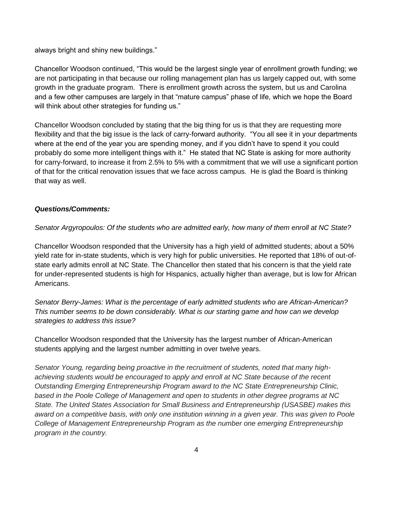always bright and shiny new buildings."

Chancellor Woodson continued, "This would be the largest single year of enrollment growth funding; we are not participating in that because our rolling management plan has us largely capped out, with some growth in the graduate program. There is enrollment growth across the system, but us and Carolina and a few other campuses are largely in that "mature campus" phase of life, which we hope the Board will think about other strategies for funding us."

Chancellor Woodson concluded by stating that the big thing for us is that they are requesting more flexibility and that the big issue is the lack of carry-forward authority. "You all see it in your departments where at the end of the year you are spending money, and if you didn't have to spend it you could probably do some more intelligent things with it." He stated that NC State is asking for more authority for carry-forward, to increase it from 2.5% to 5% with a commitment that we will use a significant portion of that for the critical renovation issues that we face across campus. He is glad the Board is thinking that way as well.

## *Questions/Comments:*

*Senator Argyropoulos: Of the students who are admitted early, how many of them enroll at NC State?*

Chancellor Woodson responded that the University has a high yield of admitted students; about a 50% yield rate for in-state students, which is very high for public universities. He reported that 18% of out-ofstate early admits enroll at NC State. The Chancellor then stated that his concern is that the yield rate for under-represented students is high for Hispanics, actually higher than average, but is low for African Americans.

*Senator Berry-James: What is the percentage of early admitted students who are African-American? This number seems to be down considerably. What is our starting game and how can we develop strategies to address this issue?*

Chancellor Woodson responded that the University has the largest number of African-American students applying and the largest number admitting in over twelve years.

*Senator Young, regarding being proactive in the recruitment of students, noted that many highachieving students would be encouraged to apply and enroll at NC State because of the recent Outstanding Emerging Entrepreneurship Program award to the NC State Entrepreneurship Clinic, based in the Poole College of Management and open to students in other degree programs at NC State. The United States Association for Small Business and Entrepreneurship (USASBE) makes this award on a competitive basis, with only one institution winning in a given year. This was given to Poole College of Management Entrepreneurship Program as the number one emerging Entrepreneurship program in the country.*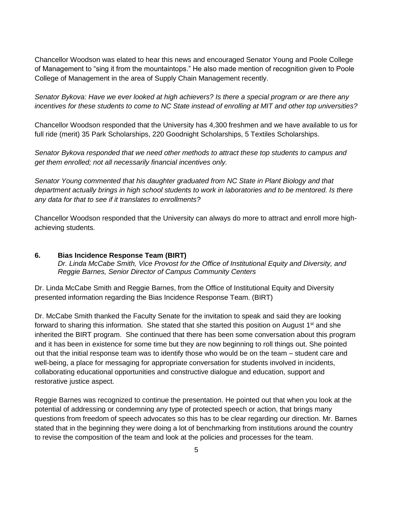Chancellor Woodson was elated to hear this news and encouraged Senator Young and Poole College of Management to "sing it from the mountaintops." He also made mention of recognition given to Poole College of Management in the area of Supply Chain Management recently.

*Senator Bykova: Have we ever looked at high achievers? Is there a special program or are there any incentives for these students to come to NC State instead of enrolling at MIT and other top universities?* 

Chancellor Woodson responded that the University has 4,300 freshmen and we have available to us for full ride (merit) 35 Park Scholarships, 220 Goodnight Scholarships, 5 Textiles Scholarships.

*Senator Bykova responded that we need other methods to attract these top students to campus and get them enrolled; not all necessarily financial incentives only.* 

*Senator Young commented that his daughter graduated from NC State in Plant Biology and that*  department actually brings in high school students to work in laboratories and to be mentored. Is there *any data for that to see if it translates to enrollments?*

Chancellor Woodson responded that the University can always do more to attract and enroll more highachieving students.

## **6. Bias Incidence Response Team (BIRT)** *Dr. Linda McCabe Smith, Vice Provost for the Office of Institutional Equity and Diversity, and Reggie Barnes, Senior Director of Campus Community Centers*

Dr. Linda McCabe Smith and Reggie Barnes, from the Office of Institutional Equity and Diversity presented information regarding the Bias Incidence Response Team. (BIRT)

Dr. McCabe Smith thanked the Faculty Senate for the invitation to speak and said they are looking forward to sharing this information. She stated that she started this position on August 1<sup>st</sup> and she inherited the BIRT program. She continued that there has been some conversation about this program and it has been in existence for some time but they are now beginning to roll things out. She pointed out that the initial response team was to identify those who would be on the team – student care and well-being, a place for messaging for appropriate conversation for students involved in incidents, collaborating educational opportunities and constructive dialogue and education, support and restorative justice aspect.

Reggie Barnes was recognized to continue the presentation. He pointed out that when you look at the potential of addressing or condemning any type of protected speech or action, that brings many questions from freedom of speech advocates so this has to be clear regarding our direction. Mr. Barnes stated that in the beginning they were doing a lot of benchmarking from institutions around the country to revise the composition of the team and look at the policies and processes for the team.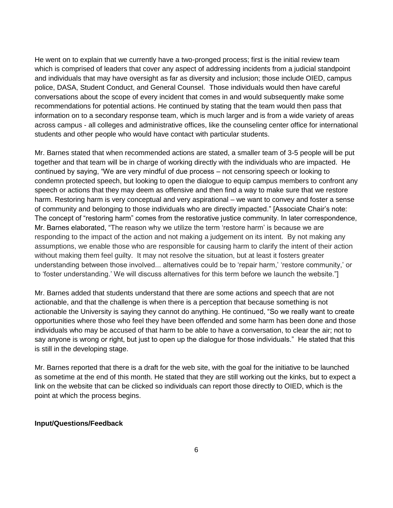He went on to explain that we currently have a two-pronged process; first is the initial review team which is comprised of leaders that cover any aspect of addressing incidents from a judicial standpoint and individuals that may have oversight as far as diversity and inclusion; those include OIED, campus police, DASA, Student Conduct, and General Counsel. Those individuals would then have careful conversations about the scope of every incident that comes in and would subsequently make some recommendations for potential actions. He continued by stating that the team would then pass that information on to a secondary response team, which is much larger and is from a wide variety of areas across campus - all colleges and administrative offices, like the counseling center office for international students and other people who would have contact with particular students.

Mr. Barnes stated that when recommended actions are stated, a smaller team of 3-5 people will be put together and that team will be in charge of working directly with the individuals who are impacted. He continued by saying, "We are very mindful of due process – not censoring speech or looking to condemn protected speech, but looking to open the dialogue to equip campus members to confront any speech or actions that they may deem as offensive and then find a way to make sure that we restore harm. Restoring harm is very conceptual and very aspirational – we want to convey and foster a sense of community and belonging to those individuals who are directly impacted." [Associate Chair's note: The concept of "restoring harm" comes from the restorative justice community. In later correspondence, Mr. Barnes elaborated, "The reason why we utilize the term 'restore harm' is because we are responding to the impact of the action and not making a judgement on its intent. By not making any assumptions, we enable those who are responsible for causing harm to clarify the intent of their action without making them feel guilty. It may not resolve the situation, but at least it fosters greater understanding between those involved... alternatives could be to 'repair harm,' 'restore community,' or to 'foster understanding.' We will discuss alternatives for this term before we launch the website."]

Mr. Barnes added that students understand that there are some actions and speech that are not actionable, and that the challenge is when there is a perception that because something is not actionable the University is saying they cannot do anything. He continued, "So we really want to create opportunities where those who feel they have been offended and some harm has been done and those individuals who may be accused of that harm to be able to have a conversation, to clear the air; not to say anyone is wrong or right, but just to open up the dialogue for those individuals." He stated that this is still in the developing stage.

Mr. Barnes reported that there is a draft for the web site, with the goal for the initiative to be launched as sometime at the end of this month. He stated that they are still working out the kinks, but to expect a link on the website that can be clicked so individuals can report those directly to OIED, which is the point at which the process begins.

#### **Input/Questions/Feedback**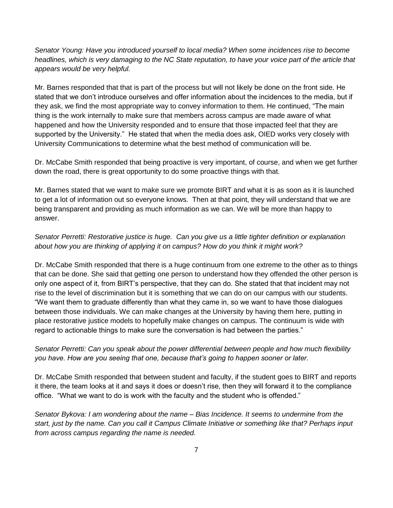*Senator Young: Have you introduced yourself to local media? When some incidences rise to become headlines, which is very damaging to the NC State reputation, to have your voice part of the article that appears would be very helpful.*

Mr. Barnes responded that that is part of the process but will not likely be done on the front side. He stated that we don't introduce ourselves and offer information about the incidences to the media, but if they ask, we find the most appropriate way to convey information to them. He continued, "The main thing is the work internally to make sure that members across campus are made aware of what happened and how the University responded and to ensure that those impacted feel that they are supported by the University." He stated that when the media does ask, OIED works very closely with University Communications to determine what the best method of communication will be.

Dr. McCabe Smith responded that being proactive is very important, of course, and when we get further down the road, there is great opportunity to do some proactive things with that.

Mr. Barnes stated that we want to make sure we promote BIRT and what it is as soon as it is launched to get a lot of information out so everyone knows. Then at that point, they will understand that we are being transparent and providing as much information as we can. We will be more than happy to answer.

## *Senator Perretti: Restorative justice is huge. Can you give us a little tighter definition or explanation about how you are thinking of applying it on campus? How do you think it might work?*

Dr. McCabe Smith responded that there is a huge continuum from one extreme to the other as to things that can be done. She said that getting one person to understand how they offended the other person is only one aspect of it, from BIRT's perspective, that they can do. She stated that that incident may not rise to the level of discrimination but it is something that we can do on our campus with our students. "We want them to graduate differently than what they came in, so we want to have those dialogues between those individuals. We can make changes at the University by having them here, putting in place restorative justice models to hopefully make changes on campus. The continuum is wide with regard to actionable things to make sure the conversation is had between the parties."

## *Senator Perretti: Can you speak about the power differential between people and how much flexibility you have. How are you seeing that one, because that's going to happen sooner or later.*

Dr. McCabe Smith responded that between student and faculty, if the student goes to BIRT and reports it there, the team looks at it and says it does or doesn't rise, then they will forward it to the compliance office. "What we want to do is work with the faculty and the student who is offended."

*Senator Bykova: I am wondering about the name – Bias Incidence. It seems to undermine from the start, just by the name. Can you call it Campus Climate Initiative or something like that? Perhaps input from across campus regarding the name is needed.*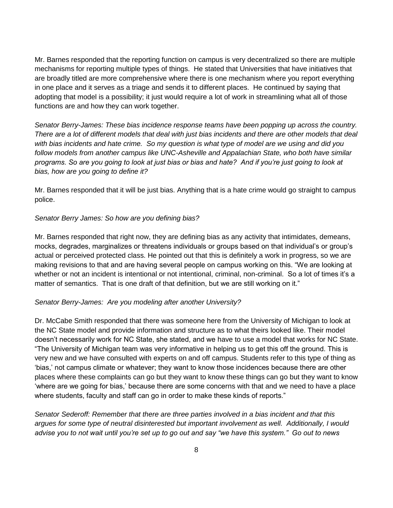Mr. Barnes responded that the reporting function on campus is very decentralized so there are multiple mechanisms for reporting multiple types of things. He stated that Universities that have initiatives that are broadly titled are more comprehensive where there is one mechanism where you report everything in one place and it serves as a triage and sends it to different places. He continued by saying that adopting that model is a possibility; it just would require a lot of work in streamlining what all of those functions are and how they can work together.

*Senator Berry-James: These bias incidence response teams have been popping up across the country. There are a lot of different models that deal with just bias incidents and there are other models that deal with bias incidents and hate crime. So my question is what type of model are we using and did you follow models from another campus like UNC-Asheville and Appalachian State, who both have similar programs. So are you going to look at just bias or bias and hate? And if you're just going to look at bias, how are you going to define it?*

Mr. Barnes responded that it will be just bias. Anything that is a hate crime would go straight to campus police.

## *Senator Berry James: So how are you defining bias?*

Mr. Barnes responded that right now, they are defining bias as any activity that intimidates, demeans, mocks, degrades, marginalizes or threatens individuals or groups based on that individual's or group's actual or perceived protected class. He pointed out that this is definitely a work in progress, so we are making revisions to that and are having several people on campus working on this. "We are looking at whether or not an incident is intentional or not intentional, criminal, non-criminal. So a lot of times it's a matter of semantics. That is one draft of that definition, but we are still working on it."

#### *Senator Berry-James: Are you modeling after another University?*

Dr. McCabe Smith responded that there was someone here from the University of Michigan to look at the NC State model and provide information and structure as to what theirs looked like. Their model doesn't necessarily work for NC State, she stated, and we have to use a model that works for NC State. "The University of Michigan team was very informative in helping us to get this off the ground. This is very new and we have consulted with experts on and off campus. Students refer to this type of thing as 'bias,' not campus climate or whatever; they want to know those incidences because there are other places where these complaints can go but they want to know these things can go but they want to know 'where are we going for bias,' because there are some concerns with that and we need to have a place where students, faculty and staff can go in order to make these kinds of reports."

*Senator Sederoff: Remember that there are three parties involved in a bias incident and that this argues for some type of neutral disinterested but important involvement as well. Additionally, I would advise you to not wait until you're set up to go out and say "we have this system." Go out to news*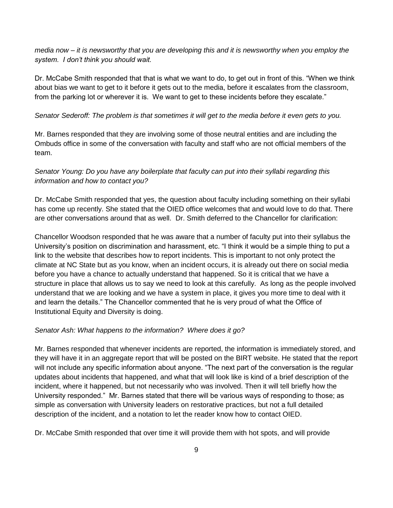*media now – it is newsworthy that you are developing this and it is newsworthy when you employ the system. I don't think you should wait.*

Dr. McCabe Smith responded that that is what we want to do, to get out in front of this. "When we think about bias we want to get to it before it gets out to the media, before it escalates from the classroom, from the parking lot or wherever it is. We want to get to these incidents before they escalate."

#### *Senator Sederoff: The problem is that sometimes it will get to the media before it even gets to you.*

Mr. Barnes responded that they are involving some of those neutral entities and are including the Ombuds office in some of the conversation with faculty and staff who are not official members of the team.

## *Senator Young: Do you have any boilerplate that faculty can put into their syllabi regarding this information and how to contact you?*

Dr. McCabe Smith responded that yes, the question about faculty including something on their syllabi has come up recently. She stated that the OIED office welcomes that and would love to do that. There are other conversations around that as well. Dr. Smith deferred to the Chancellor for clarification:

Chancellor Woodson responded that he was aware that a number of faculty put into their syllabus the University's position on discrimination and harassment, etc. "I think it would be a simple thing to put a link to the website that describes how to report incidents. This is important to not only protect the climate at NC State but as you know, when an incident occurs, it is already out there on social media before you have a chance to actually understand that happened. So it is critical that we have a structure in place that allows us to say we need to look at this carefully. As long as the people involved understand that we are looking and we have a system in place, it gives you more time to deal with it and learn the details." The Chancellor commented that he is very proud of what the Office of Institutional Equity and Diversity is doing.

#### *Senator Ash: What happens to the information? Where does it go?*

Mr. Barnes responded that whenever incidents are reported, the information is immediately stored, and they will have it in an aggregate report that will be posted on the BIRT website. He stated that the report will not include any specific information about anyone. "The next part of the conversation is the regular updates about incidents that happened, and what that will look like is kind of a brief description of the incident, where it happened, but not necessarily who was involved. Then it will tell briefly how the University responded." Mr. Barnes stated that there will be various ways of responding to those; as simple as conversation with University leaders on restorative practices, but not a full detailed description of the incident, and a notation to let the reader know how to contact OIED.

Dr. McCabe Smith responded that over time it will provide them with hot spots, and will provide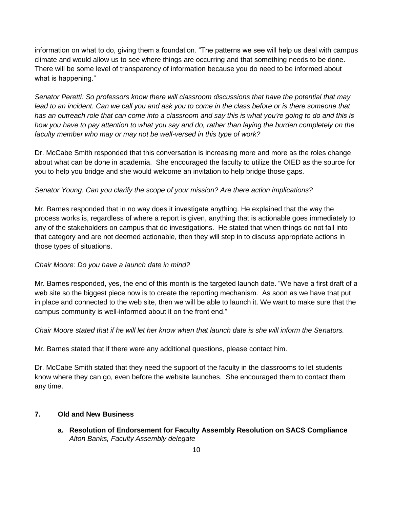information on what to do, giving them a foundation. "The patterns we see will help us deal with campus climate and would allow us to see where things are occurring and that something needs to be done. There will be some level of transparency of information because you do need to be informed about what is happening."

*Senator Peretti: So professors know there will classroom discussions that have the potential that may*  lead to an incident. Can we call you and ask you to come in the class before or is there someone that *has an outreach role that can come into a classroom and say this is what you're going to do and this is how you have to pay attention to what you say and do, rather than laying the burden completely on the faculty member who may or may not be well-versed in this type of work?*

Dr. McCabe Smith responded that this conversation is increasing more and more as the roles change about what can be done in academia. She encouraged the faculty to utilize the OIED as the source for you to help you bridge and she would welcome an invitation to help bridge those gaps.

## *Senator Young: Can you clarify the scope of your mission? Are there action implications?*

Mr. Barnes responded that in no way does it investigate anything. He explained that the way the process works is, regardless of where a report is given, anything that is actionable goes immediately to any of the stakeholders on campus that do investigations. He stated that when things do not fall into that category and are not deemed actionable, then they will step in to discuss appropriate actions in those types of situations.

## *Chair Moore: Do you have a launch date in mind?*

Mr. Barnes responded, yes, the end of this month is the targeted launch date. "We have a first draft of a web site so the biggest piece now is to create the reporting mechanism. As soon as we have that put in place and connected to the web site, then we will be able to launch it. We want to make sure that the campus community is well-informed about it on the front end."

*Chair Moore stated that if he will let her know when that launch date is she will inform the Senators.*

Mr. Barnes stated that if there were any additional questions, please contact him.

Dr. McCabe Smith stated that they need the support of the faculty in the classrooms to let students know where they can go, even before the website launches. She encouraged them to contact them any time.

## **7. Old and New Business**

**a. Resolution of Endorsement for Faculty Assembly Resolution on SACS Compliance** *Alton Banks, Faculty Assembly delegate*